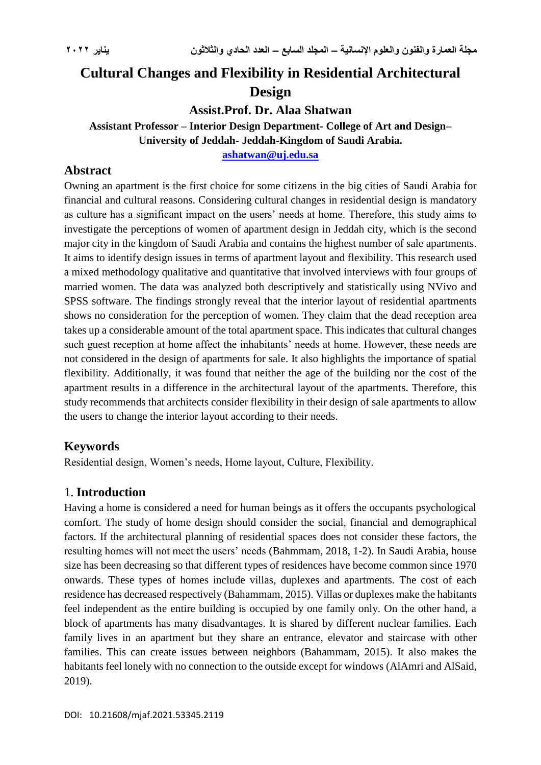# **Cultural Changes and Flexibility in Residential Architectural Design**

**Assist.Prof. Dr. Alaa Shatwan**

**Assistant Professor – Interior Design Department- College of Art and Design– University of Jeddah- Jeddah-Kingdom of Saudi Arabia.**

**[ashatwan@uj.edu.sa](mailto:ashatwan@uj.edu.sa)**

### **Abstract**

Owning an apartment is the first choice for some citizens in the big cities of Saudi Arabia for financial and cultural reasons. Considering cultural changes in residential design is mandatory as culture has a significant impact on the users' needs at home. Therefore, this study aims to investigate the perceptions of women of apartment design in Jeddah city, which is the second major city in the kingdom of Saudi Arabia and contains the highest number of sale apartments. It aims to identify design issues in terms of apartment layout and flexibility. This research used a mixed methodology qualitative and quantitative that involved interviews with four groups of married women. The data was analyzed both descriptively and statistically using NVivo and SPSS software. The findings strongly reveal that the interior layout of residential apartments shows no consideration for the perception of women. They claim that the dead reception area takes up a considerable amount of the total apartment space. This indicates that cultural changes such guest reception at home affect the inhabitants' needs at home. However, these needs are not considered in the design of apartments for sale. It also highlights the importance of spatial flexibility. Additionally, it was found that neither the age of the building nor the cost of the apartment results in a difference in the architectural layout of the apartments. Therefore, this study recommends that architects consider flexibility in their design of sale apartments to allow the users to change the interior layout according to their needs.

#### **Keywords**

Residential design, Women's needs, Home layout, Culture, Flexibility.

## 1. **Introduction**

Having a home is considered a need for human beings as it offers the occupants psychological comfort. The study of home design should consider the social, financial and demographical factors. If the architectural planning of residential spaces does not consider these factors, the resulting homes will not meet the users' needs (Bahmmam, 2018, 1-2). In Saudi Arabia, house size has been decreasing so that different types of residences have become common since 1970 onwards. These types of homes include villas, duplexes and apartments. The cost of each residence has decreased respectively (Bahammam, 2015). Villas or duplexes make the habitants feel independent as the entire building is occupied by one family only. On the other hand, a block of apartments has many disadvantages. It is shared by different nuclear families. Each family lives in an apartment but they share an entrance, elevator and staircase with other families. This can create issues between neighbors (Bahammam, 2015). It also makes the habitants feel lonely with no connection to the outside except for windows (AlAmri and AlSaid, 2019).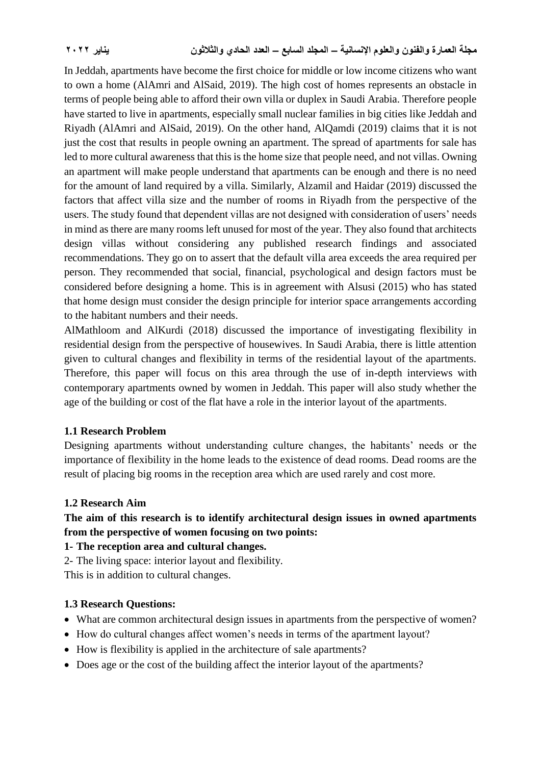In Jeddah, apartments have become the first choice for middle or low income citizens who want to own a home (AlAmri and AlSaid, 2019). The high cost of homes represents an obstacle in terms of people being able to afford their own villa or duplex in Saudi Arabia. Therefore people have started to live in apartments, especially small nuclear families in big cities like Jeddah and Riyadh (AlAmri and AlSaid, 2019). On the other hand, AlQamdi (2019) claims that it is not just the cost that results in people owning an apartment. The spread of apartments for sale has led to more cultural awareness that this is the home size that people need, and not villas. Owning an apartment will make people understand that apartments can be enough and there is no need for the amount of land required by a villa. Similarly, Alzamil and Haidar (2019) discussed the factors that affect villa size and the number of rooms in Riyadh from the perspective of the users. The study found that dependent villas are not designed with consideration of users' needs in mind as there are many rooms left unused for most of the year. They also found that architects design villas without considering any published research findings and associated recommendations. They go on to assert that the default villa area exceeds the area required per person. They recommended that social, financial, psychological and design factors must be considered before designing a home. This is in agreement with Alsusi (2015) who has stated that home design must consider the design principle for interior space arrangements according to the habitant numbers and their needs.

AlMathloom and AlKurdi (2018) discussed the importance of investigating flexibility in residential design from the perspective of housewives. In Saudi Arabia, there is little attention given to cultural changes and flexibility in terms of the residential layout of the apartments. Therefore, this paper will focus on this area through the use of in-depth interviews with contemporary apartments owned by women in Jeddah. This paper will also study whether the age of the building or cost of the flat have a role in the interior layout of the apartments.

#### **1.1 Research Problem**

Designing apartments without understanding culture changes, the habitants' needs or the importance of flexibility in the home leads to the existence of dead rooms. Dead rooms are the result of placing big rooms in the reception area which are used rarely and cost more.

#### **1.2 Research Aim**

**The aim of this research is to identify architectural design issues in owned apartments from the perspective of women focusing on two points:**

**1- The reception area and cultural changes.**

2- The living space: interior layout and flexibility.

This is in addition to cultural changes.

#### **1.3 Research Questions:**

- What are common architectural design issues in apartments from the perspective of women?
- How do cultural changes affect women's needs in terms of the apartment layout?
- How is flexibility is applied in the architecture of sale apartments?
- Does age or the cost of the building affect the interior layout of the apartments?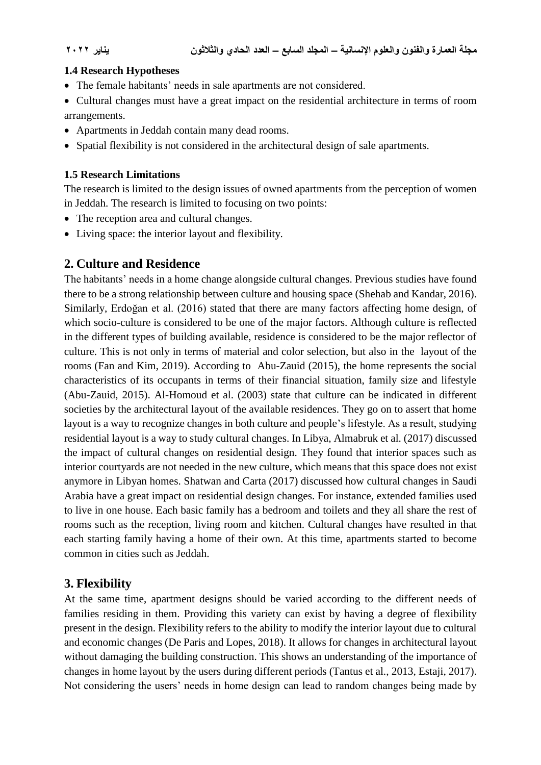#### **1.4 Research Hypotheses**

- The female habitants' needs in sale apartments are not considered.
- Cultural changes must have a great impact on the residential architecture in terms of room arrangements.
- Apartments in Jeddah contain many dead rooms.
- Spatial flexibility is not considered in the architectural design of sale apartments.

#### **1.5 Research Limitations**

The research is limited to the design issues of owned apartments from the perception of women in Jeddah. The research is limited to focusing on two points:

- The reception area and cultural changes.
- Living space: the interior layout and flexibility.

### **2. Culture and Residence**

The habitants' needs in a home change alongside cultural changes. Previous studies have found there to be a strong relationship between culture and housing space (Shehab and Kandar, 2016). Similarly, Erdoğan et al. (2016) stated that there are many factors affecting home design, of which socio-culture is considered to be one of the major factors. Although culture is reflected in the different types of building available, residence is considered to be the major reflector of culture. This is not only in terms of material and color selection, but also in the layout of the rooms (Fan and Kim, 2019). According to Abu-Zauid (2015), the home represents the social characteristics of its occupants in terms of their financial situation, family size and lifestyle (Abu-Zauid, 2015). Al-Homoud et al. (2003) state that culture can be indicated in different societies by the architectural layout of the available residences. They go on to assert that home layout is a way to recognize changes in both culture and people's lifestyle. As a result, studying residential layout is a way to study cultural changes. In Libya, Almabruk et al. (2017) discussed the impact of cultural changes on residential design. They found that interior spaces such as interior courtyards are not needed in the new culture, which means that this space does not exist anymore in Libyan homes. Shatwan and Carta (2017) discussed how cultural changes in Saudi Arabia have a great impact on residential design changes. For instance, extended families used to live in one house. Each basic family has a bedroom and toilets and they all share the rest of rooms such as the reception, living room and kitchen. Cultural changes have resulted in that each starting family having a home of their own. At this time, apartments started to become common in cities such as Jeddah.

## **3. Flexibility**

At the same time, apartment designs should be varied according to the different needs of families residing in them. Providing this variety can exist by having a degree of flexibility present in the design. Flexibility refers to the ability to modify the interior layout due to cultural and economic changes (De Paris and Lopes, 2018). It allows for changes in architectural layout without damaging the building construction. This shows an understanding of the importance of changes in home layout by the users during different periods (Tantus et al., 2013, Estaji, 2017). Not considering the users' needs in home design can lead to random changes being made by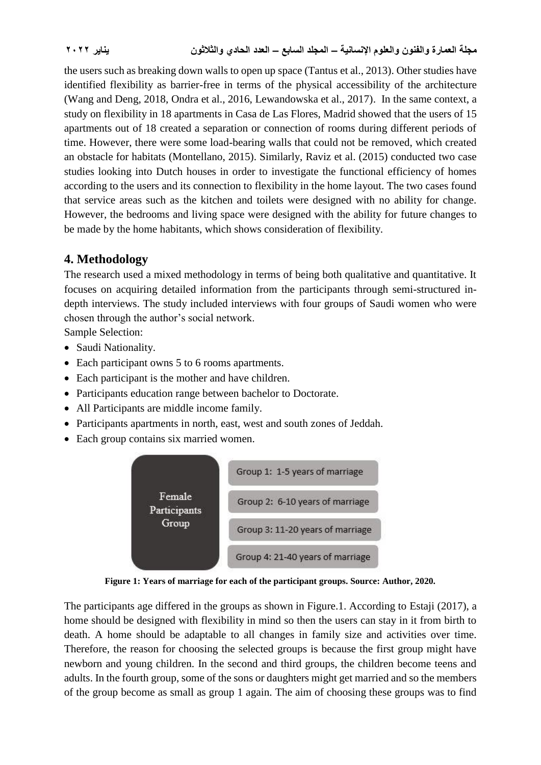the users such as breaking down walls to open up space (Tantus et al., 2013). Other studies have identified flexibility as barrier-free in terms of the physical accessibility of the architecture (Wang and Deng, 2018, Ondra et al., 2016, Lewandowska et al., 2017). In the same context, a study on flexibility in 18 apartments in Casa de Las Flores, Madrid showed that the users of 15 apartments out of 18 created a separation or connection of rooms during different periods of time. However, there were some load-bearing walls that could not be removed, which created an obstacle for habitats (Montellano, 2015). Similarly, Raviz et al. (2015) conducted two case studies looking into Dutch houses in order to investigate the functional efficiency of homes according to the users and its connection to flexibility in the home layout. The two cases found that service areas such as the kitchen and toilets were designed with no ability for change. However, the bedrooms and living space were designed with the ability for future changes to be made by the home habitants, which shows consideration of flexibility.

## **4. Methodology**

The research used a mixed methodology in terms of being both qualitative and quantitative. It focuses on acquiring detailed information from the participants through semi-structured indepth interviews. The study included interviews with four groups of Saudi women who were chosen through the author's social network.

Sample Selection:

- Saudi Nationality.
- Each participant owns 5 to 6 rooms apartments.
- Each participant is the mother and have children.
- Participants education range between bachelor to Doctorate.
- All Participants are middle income family.
- Participants apartments in north, east, west and south zones of Jeddah.
- Each group contains six married women.



**Figure 1: Years of marriage for each of the participant groups. Source: Author, 2020.**

The participants age differed in the groups as shown in Figure.1. According to Estaji (2017), a home should be designed with flexibility in mind so then the users can stay in it from birth to death. A home should be adaptable to all changes in family size and activities over time. Therefore, the reason for choosing the selected groups is because the first group might have newborn and young children. In the second and third groups, the children become teens and adults. In the fourth group, some of the sons or daughters might get married and so the members of the group become as small as group 1 again. The aim of choosing these groups was to find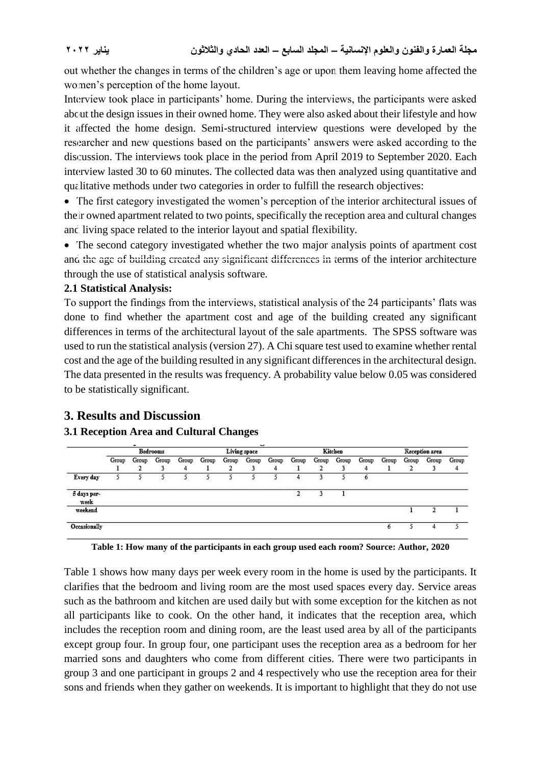out whether the changes in terms of the children's age or upon them leaving home affected the women's perception of the home layout.

Interview took place in participants' home. During the interviews, the participants were asked about the design issues in their owned home. They were also asked about their lifestyle and how it affected the home design. Semi-structured interview questions were developed by the researcher and new questions based on the participants' answers were asked according to the discussion. The interviews took place in the period from April 2019 to September 2020. Each interview lasted 30 to 60 minutes. The collected data was then analyzed using quantitative and qualitative methods under two categories in order to fulfill the research objectives:

• The first category investigated the women's perception of the interior architectural issues of their owned apartment related to two points, specifically the reception area and cultural changes and living space related to the interior layout and spatial flexibility.

• The second category investigated whether the two major analysis points of apartment cost and the age of building created any significant differences in terms of the interior architecture through the use of statistical analysis software.

#### **2.1 Statistical Analysis:**

To support the findings from the interviews, statistical analysis of the 24 participants' flats was done to find whether the apartment cost and age of the building created any significant differences in terms of the architectural layout of the sale apartments. The SPSS software was used to run the statistical analysis (version 27). A Chi square test used to examine whether rental cost and the age of the building resulted in any significant differences in the architectural design. The data presented in the results was frequency. A probability value below 0.05 was considered to be statistically significant.

## **3. Results and Discussion**

#### **3.1 Reception Area and Cultural Changes**

|                                                                  | Allen Council<br><b>Bedrooms</b> |       |       |                                                                                                               |       | Living space |       | Kitchen |       |       |       | Reception area |       |                  |                   |       |
|------------------------------------------------------------------|----------------------------------|-------|-------|---------------------------------------------------------------------------------------------------------------|-------|--------------|-------|---------|-------|-------|-------|----------------|-------|------------------|-------------------|-------|
|                                                                  | Group                            | Group | Group | Group<br>4                                                                                                    | Group | Group        | Group | Group   | Group | Group | Group | Group          | Group | Group            | Group             | Group |
| Every day                                                        |                                  |       |       |                                                                                                               |       |              |       |         |       |       |       | ۰              |       |                  |                   |       |
| the company of the company of the company<br>5 days per-<br>week |                                  |       |       | in continuous communication de continuation de continuation de continuation de la procession de la procession |       |              |       |         |       |       |       |                |       |                  |                   |       |
| weekend<br>December 2010 and 2010                                |                                  |       |       |                                                                                                               |       |              |       |         |       |       |       |                |       | 552.50           |                   |       |
| A Service Control Control of the<br>Occasionally                 |                                  |       |       |                                                                                                               |       |              |       |         |       |       |       |                | 6     | <b>All Allen</b> | <b>All Street</b> |       |



Table 1 shows how many days per week every room in the home is used by the participants. It clarifies that the bedroom and living room are the most used spaces every day. Service areas such as the bathroom and kitchen are used daily but with some exception for the kitchen as not all participants like to cook. On the other hand, it indicates that the reception area, which includes the reception room and dining room, are the least used area by all of the participants except group four. In group four, one participant uses the reception area as a bedroom for her married sons and daughters who come from different cities. There were two participants in group 3 and one participant in groups 2 and 4 respectively who use the reception area for their sons and friends when they gather on weekends. It is important to highlight that they do not use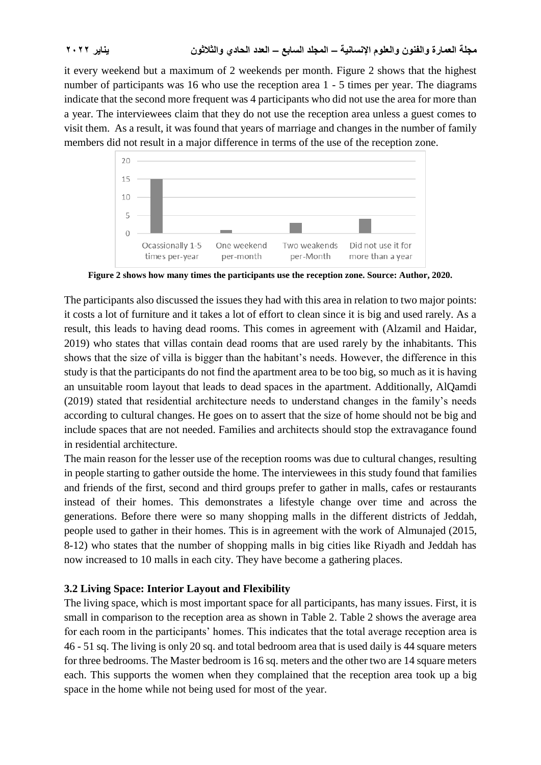it every weekend but a maximum of 2 weekends per month. Figure 2 shows that the highest number of participants was 16 who use the reception area 1 - 5 times per year. The diagrams indicate that the second more frequent was 4 participants who did not use the area for more than a year. The interviewees claim that they do not use the reception area unless a guest comes to visit them. As a result, it was found that years of marriage and changes in the number of family members did not result in a major difference in terms of the use of the reception zone.



**Figure 2 shows how many times the participants use the reception zone. Source: Author, 2020.**

The participants also discussed the issues they had with this area in relation to two major points: it costs a lot of furniture and it takes a lot of effort to clean since it is big and used rarely. As a result, this leads to having dead rooms. This comes in agreement with (Alzamil and Haidar, 2019) who states that villas contain dead rooms that are used rarely by the inhabitants. This shows that the size of villa is bigger than the habitant's needs. However, the difference in this study is that the participants do not find the apartment area to be too big, so much as it is having an unsuitable room layout that leads to dead spaces in the apartment. Additionally, AlQamdi (2019) stated that residential architecture needs to understand changes in the family's needs according to cultural changes. He goes on to assert that the size of home should not be big and include spaces that are not needed. Families and architects should stop the extravagance found in residential architecture.

The main reason for the lesser use of the reception rooms was due to cultural changes, resulting in people starting to gather outside the home. The interviewees in this study found that families and friends of the first, second and third groups prefer to gather in malls, cafes or restaurants instead of their homes. This demonstrates a lifestyle change over time and across the generations. Before there were so many shopping malls in the different districts of Jeddah, people used to gather in their homes. This is in agreement with the work of Almunajed (2015, 8-12) who states that the number of shopping malls in big cities like Riyadh and Jeddah has now increased to 10 malls in each city. They have become a gathering places.

#### **3.2 Living Space: Interior Layout and Flexibility**

The living space, which is most important space for all participants, has many issues. First, it is small in comparison to the reception area as shown in Table 2. Table 2 shows the average area for each room in the participants' homes. This indicates that the total average reception area is 46 - 51 sq. The living is only 20 sq. and total bedroom area that is used daily is 44 square meters for three bedrooms. The Master bedroom is 16 sq. meters and the other two are 14 square meters each. This supports the women when they complained that the reception area took up a big space in the home while not being used for most of the year.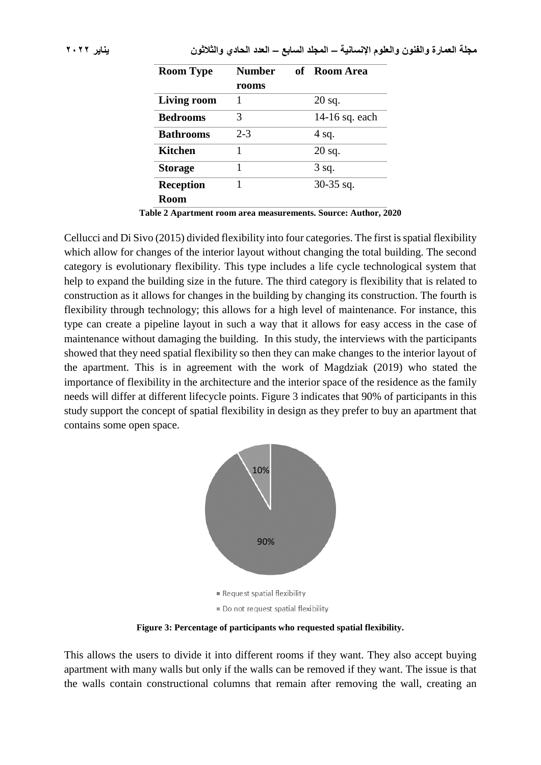| <b>Room Type</b>   | <b>Number</b> | of Room Area   |
|--------------------|---------------|----------------|
|                    | rooms         |                |
| <b>Living room</b> |               | $20$ sq.       |
| <b>Bedrooms</b>    | 3             | 14-16 sq. each |
| <b>Bathrooms</b>   | $2 - 3$       | 4 sq.          |
| <b>Kitchen</b>     | 1             | $20$ sq.       |
| <b>Storage</b>     | 1             | 3 sq.          |
| <b>Reception</b>   |               | $30-35$ sq.    |
| <b>Room</b>        |               |                |
|                    |               |                |

**Table 2 Apartment room area measurements. Source: Author, 2020**

Cellucci and Di Sivo (2015) divided flexibility into four categories. The first is spatial flexibility which allow for changes of the interior layout without changing the total building. The second category is evolutionary flexibility. This type includes a life cycle technological system that help to expand the building size in the future. The third category is flexibility that is related to construction as it allows for changes in the building by changing its construction. The fourth is flexibility through technology; this allows for a high level of maintenance. For instance, this type can create a pipeline layout in such a way that it allows for easy access in the case of maintenance without damaging the building. In this study, the interviews with the participants showed that they need spatial flexibility so then they can make changes to the interior layout of the apartment. This is in agreement with the work of Magdziak (2019) who stated the importance of flexibility in the architecture and the interior space of the residence as the family needs will differ at different lifecycle points. Figure 3 indicates that 90% of participants in this study support the concept of spatial flexibility in design as they prefer to buy an apartment that contains some open space.



**Figure 3: Percentage of participants who requested spatial flexibility.**

This allows the users to divide it into different rooms if they want. They also accept buying apartment with many walls but only if the walls can be removed if they want. The issue is that the walls contain constructional columns that remain after removing the wall, creating an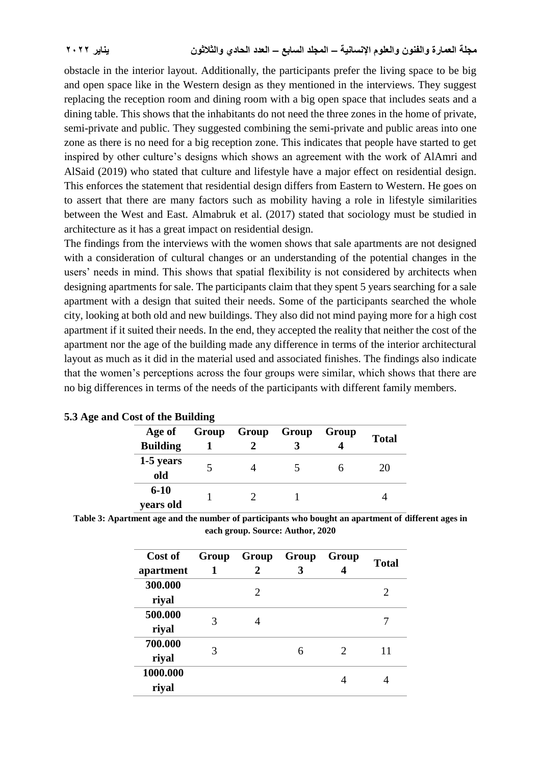obstacle in the interior layout. Additionally, the participants prefer the living space to be big and open space like in the Western design as they mentioned in the interviews. They suggest replacing the reception room and dining room with a big open space that includes seats and a dining table. This shows that the inhabitants do not need the three zones in the home of private, semi-private and public. They suggested combining the semi-private and public areas into one zone as there is no need for a big reception zone. This indicates that people have started to get inspired by other culture's designs which shows an agreement with the work of AlAmri and AlSaid (2019) who stated that culture and lifestyle have a major effect on residential design. This enforces the statement that residential design differs from Eastern to Western. He goes on to assert that there are many factors such as mobility having a role in lifestyle similarities between the West and East. Almabruk et al. (2017) stated that sociology must be studied in architecture as it has a great impact on residential design.

The findings from the interviews with the women shows that sale apartments are not designed with a consideration of cultural changes or an understanding of the potential changes in the users' needs in mind. This shows that spatial flexibility is not considered by architects when designing apartments for sale. The participants claim that they spent 5 years searching for a sale apartment with a design that suited their needs. Some of the participants searched the whole city, looking at both old and new buildings. They also did not mind paying more for a high cost apartment if it suited their needs. In the end, they accepted the reality that neither the cost of the apartment nor the age of the building made any difference in terms of the interior architectural layout as much as it did in the material used and associated finishes. The findings also indicate that the women's perceptions across the four groups were similar, which shows that there are no big differences in terms of the needs of the participants with different family members.

| Cost of the Dunuing |  |                   |  |       |              |  |  |  |
|---------------------|--|-------------------|--|-------|--------------|--|--|--|
| Age of              |  | Group Group Group |  | Group | <b>Total</b> |  |  |  |
| <b>Building</b>     |  |                   |  |       |              |  |  |  |
| 1-5 years           |  |                   |  |       | 20           |  |  |  |
| old                 |  |                   |  |       |              |  |  |  |
| $6 - 10$            |  |                   |  |       |              |  |  |  |
| vears old           |  |                   |  |       |              |  |  |  |

|  |  |  | 5.3 Age and Cost of the Building |
|--|--|--|----------------------------------|
|--|--|--|----------------------------------|

| Table 3: Apartment age and the number of participants who bought an apartment of different ages in |  |
|----------------------------------------------------------------------------------------------------|--|
| each group. Source: Author, 2020                                                                   |  |

| Cost of<br>apartment | Group<br>1 | Group<br>2 | Group<br>3 | Group                       | <b>Total</b> |
|----------------------|------------|------------|------------|-----------------------------|--------------|
| 300.000<br>riyal     |            | 2          |            |                             | 2            |
| 500.000<br>riyal     | 3          |            |            |                             |              |
| 700.000<br>riyal     | 3          |            | 6          | $\mathcal{D}_{\mathcal{L}}$ | 11           |
| 1000.000<br>riyal    |            |            |            |                             |              |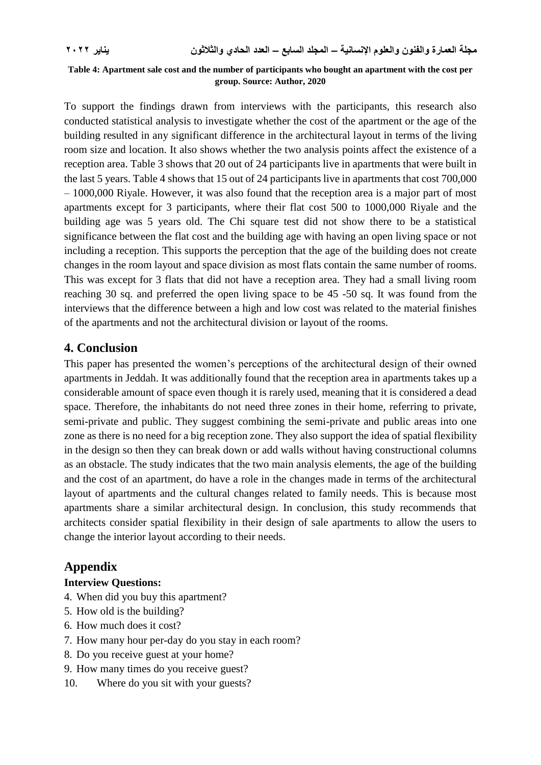#### **Table 4: Apartment sale cost and the number of participants who bought an apartment with the cost per group. Source: Author, 2020**

To support the findings drawn from interviews with the participants, this research also conducted statistical analysis to investigate whether the cost of the apartment or the age of the building resulted in any significant difference in the architectural layout in terms of the living room size and location. It also shows whether the two analysis points affect the existence of a reception area. Table 3 shows that 20 out of 24 participants live in apartments that were built in the last 5 years. Table 4 shows that 15 out of 24 participants live in apartments that cost 700,000 – 1000,000 Riyale. However, it was also found that the reception area is a major part of most apartments except for 3 participants, where their flat cost 500 to 1000,000 Riyale and the building age was 5 years old. The Chi square test did not show there to be a statistical significance between the flat cost and the building age with having an open living space or not including a reception. This supports the perception that the age of the building does not create changes in the room layout and space division as most flats contain the same number of rooms. This was except for 3 flats that did not have a reception area. They had a small living room reaching 30 sq. and preferred the open living space to be 45 -50 sq. It was found from the interviews that the difference between a high and low cost was related to the material finishes of the apartments and not the architectural division or layout of the rooms.

#### **4. Conclusion**

This paper has presented the women's perceptions of the architectural design of their owned apartments in Jeddah. It was additionally found that the reception area in apartments takes up a considerable amount of space even though it is rarely used, meaning that it is considered a dead space. Therefore, the inhabitants do not need three zones in their home, referring to private, semi-private and public. They suggest combining the semi-private and public areas into one zone as there is no need for a big reception zone. They also support the idea of spatial flexibility in the design so then they can break down or add walls without having constructional columns as an obstacle. The study indicates that the two main analysis elements, the age of the building and the cost of an apartment, do have a role in the changes made in terms of the architectural layout of apartments and the cultural changes related to family needs. This is because most apartments share a similar architectural design. In conclusion, this study recommends that architects consider spatial flexibility in their design of sale apartments to allow the users to change the interior layout according to their needs.

#### **Appendix**

#### **Interview Questions:**

- 4. When did you buy this apartment?
- 5. How old is the building?
- 6. How much does it cost?
- 7. How many hour per-day do you stay in each room?
- 8. Do you receive guest at your home?
- 9. How many times do you receive guest?
- 10. Where do you sit with your guests?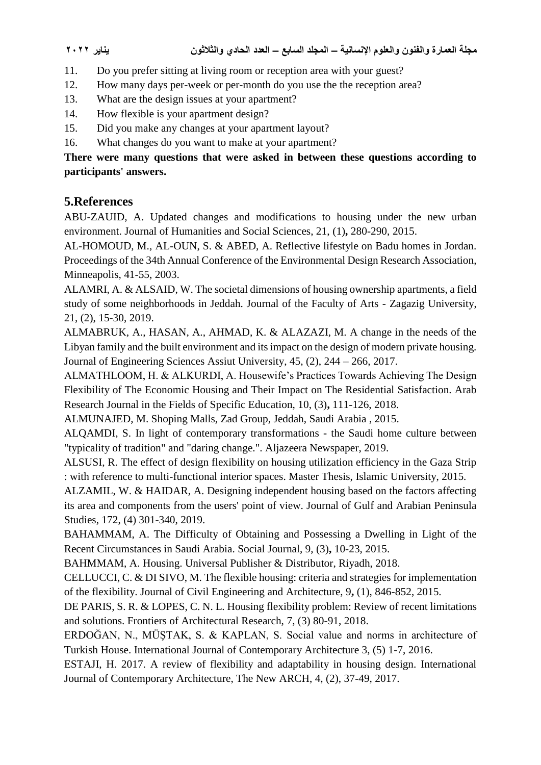- 11. Do you prefer sitting at living room or reception area with your guest?
- 12. How many days per-week or per-month do you use the the reception area?
- 13. What are the design issues at your apartment?
- 14. How flexible is your apartment design?
- 15. Did you make any changes at your apartment layout?
- 16. What changes do you want to make at your apartment?

### **There were many questions that were asked in between these questions according to participants' answers.**

## **5.References**

ABU-ZAUID, A. Updated changes and modifications to housing under the new urban environment. Journal of Humanities and Social Sciences, 21, (1)**,** 280-290, 2015.

AL-HOMOUD, M., AL-OUN, S. & ABED, A. Reflective lifestyle on Badu homes in Jordan. Proceedings of the 34th Annual Conference of the Environmental Design Research Association, Minneapolis, 41-55, 2003.

ALAMRI, A. & ALSAID, W. The societal dimensions of housing ownership apartments, a field study of some neighborhoods in Jeddah. Journal of the Faculty of Arts - Zagazig University, 21, (2), 15-30, 2019.

ALMABRUK, A., HASAN, A., AHMAD, K. & ALAZAZI, M. A change in the needs of the Libyan family and the built environment and its impact on the design of modern private housing. Journal of Engineering Sciences Assiut University, 45, (2), 244 – 266, 2017.

ALMATHLOOM, H. & ALKURDI, A. Housewife's Practices Towards Achieving The Design Flexibility of The Economic Housing and Their Impact on The Residential Satisfaction. Arab Research Journal in the Fields of Specific Education, 10, (3)**,** 111-126, 2018.

ALMUNAJED, M. Shoping Malls, Zad Group, Jeddah, Saudi Arabia , 2015.

ALQAMDI, S. In light of contemporary transformations - the Saudi home culture between "typicality of tradition" and "daring change.". Aljazeera Newspaper, 2019.

ALSUSI, R. The effect of design flexibility on housing utilization efficiency in the Gaza Strip : with reference to multi-functional interior spaces. Master Thesis, Islamic University, 2015.

ALZAMIL, W. & HAIDAR, A. Designing independent housing based on the factors affecting its area and components from the users' point of view. Journal of Gulf and Arabian Peninsula Studies, 172, (4) 301-340, 2019.

BAHAMMAM, A. The Difficulty of Obtaining and Possessing a Dwelling in Light of the Recent Circumstances in Saudi Arabia. Social Journal, 9, (3)**,** 10-23, 2015.

BAHMMAM, A. Housing. Universal Publisher & Distributor, Riyadh, 2018.

CELLUCCI, C. & DI SIVO, M. The flexible housing: criteria and strategies for implementation of the flexibility. Journal of Civil Engineering and Architecture, 9**,** (1), 846-852, 2015.

DE PARIS, S. R. & LOPES, C. N. L. Housing flexibility problem: Review of recent limitations and solutions. Frontiers of Architectural Research, 7, (3) 80-91, 2018.

ERDOĞAN, N., MÜŞTAK, S. & KAPLAN, S. Social value and norms in architecture of Turkish House. International Journal of Contemporary Architecture 3, (5) 1-7, 2016.

ESTAJI, H. 2017. A review of flexibility and adaptability in housing design. International Journal of Contemporary Architecture, The New ARCH, 4, (2), 37-49, 2017.